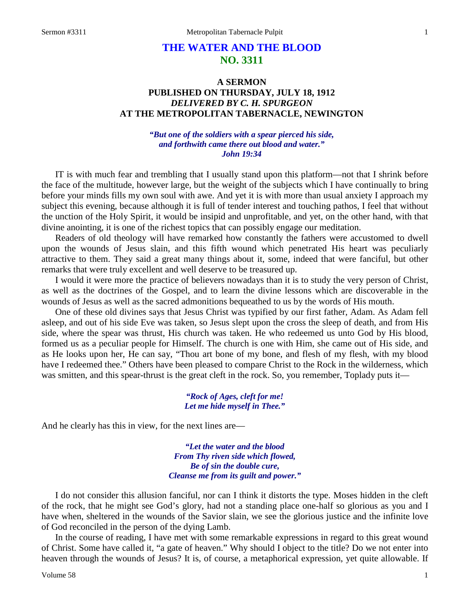# **THE WATER AND THE BLOOD NO. 3311**

## **A SERMON PUBLISHED ON THURSDAY, JULY 18, 1912** *DELIVERED BY C. H. SPURGEON* **AT THE METROPOLITAN TABERNACLE, NEWINGTON**

#### *"But one of the soldiers with a spear pierced his side, and forthwith came there out blood and water." John 19:34*

IT is with much fear and trembling that I usually stand upon this platform—not that I shrink before the face of the multitude, however large, but the weight of the subjects which I have continually to bring before your minds fills my own soul with awe. And yet it is with more than usual anxiety I approach my subject this evening, because although it is full of tender interest and touching pathos, I feel that without the unction of the Holy Spirit, it would be insipid and unprofitable, and yet, on the other hand, with that divine anointing, it is one of the richest topics that can possibly engage our meditation.

Readers of old theology will have remarked how constantly the fathers were accustomed to dwell upon the wounds of Jesus slain, and this fifth wound which penetrated His heart was peculiarly attractive to them. They said a great many things about it, some, indeed that were fanciful, but other remarks that were truly excellent and well deserve to be treasured up.

I would it were more the practice of believers nowadays than it is to study the very person of Christ, as well as the doctrines of the Gospel, and to learn the divine lessons which are discoverable in the wounds of Jesus as well as the sacred admonitions bequeathed to us by the words of His mouth.

One of these old divines says that Jesus Christ was typified by our first father, Adam. As Adam fell asleep, and out of his side Eve was taken, so Jesus slept upon the cross the sleep of death, and from His side, where the spear was thrust, His church was taken. He who redeemed us unto God by His blood, formed us as a peculiar people for Himself. The church is one with Him, she came out of His side, and as He looks upon her, He can say, "Thou art bone of my bone, and flesh of my flesh, with my blood have I redeemed thee." Others have been pleased to compare Christ to the Rock in the wilderness, which was smitten, and this spear-thrust is the great cleft in the rock. So, you remember, Toplady puts it—

> *"Rock of Ages, cleft for me! Let me hide myself in Thee."*

And he clearly has this in view, for the next lines are—

*"Let the water and the blood From Thy riven side which flowed, Be of sin the double cure, Cleanse me from its guilt and power."*

I do not consider this allusion fanciful, nor can I think it distorts the type. Moses hidden in the cleft of the rock, that he might see God's glory, had not a standing place one-half so glorious as you and I have when, sheltered in the wounds of the Savior slain, we see the glorious justice and the infinite love of God reconciled in the person of the dying Lamb.

In the course of reading, I have met with some remarkable expressions in regard to this great wound of Christ. Some have called it, "a gate of heaven." Why should I object to the title? Do we not enter into heaven through the wounds of Jesus? It is, of course, a metaphorical expression, yet quite allowable. If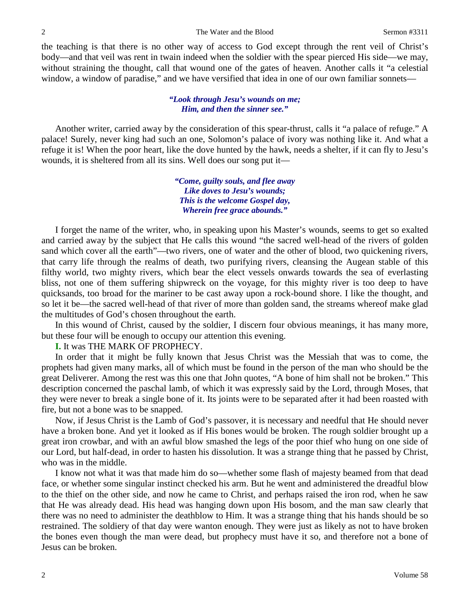the teaching is that there is no other way of access to God except through the rent veil of Christ's body—and that veil was rent in twain indeed when the soldier with the spear pierced His side—we may, without straining the thought, call that wound one of the gates of heaven. Another calls it "a celestial window, a window of paradise," and we have versified that idea in one of our own familiar sonnets—

#### *"Look through Jesu's wounds on me; Him, and then the sinner see."*

Another writer, carried away by the consideration of this spear-thrust, calls it "a palace of refuge." A palace! Surely, never king had such an one, Solomon's palace of ivory was nothing like it. And what a refuge it is! When the poor heart, like the dove hunted by the hawk, needs a shelter, if it can fly to Jesu's wounds, it is sheltered from all its sins. Well does our song put it—

> *"Come, guilty souls, and flee away Like doves to Jesu's wounds; This is the welcome Gospel day, Wherein free grace abounds."*

I forget the name of the writer, who, in speaking upon his Master's wounds, seems to get so exalted and carried away by the subject that He calls this wound "the sacred well-head of the rivers of golden sand which cover all the earth"—two rivers, one of water and the other of blood, two quickening rivers, that carry life through the realms of death, two purifying rivers, cleansing the Augean stable of this filthy world, two mighty rivers, which bear the elect vessels onwards towards the sea of everlasting bliss, not one of them suffering shipwreck on the voyage, for this mighty river is too deep to have quicksands, too broad for the mariner to be cast away upon a rock-bound shore. I like the thought, and so let it be—the sacred well-head of that river of more than golden sand, the streams whereof make glad the multitudes of God's chosen throughout the earth.

In this wound of Christ, caused by the soldier, I discern four obvious meanings, it has many more, but these four will be enough to occupy our attention this evening.

#### **I.** It was THE MARK OF PROPHECY.

In order that it might be fully known that Jesus Christ was the Messiah that was to come, the prophets had given many marks, all of which must be found in the person of the man who should be the great Deliverer. Among the rest was this one that John quotes, "A bone of him shall not be broken." This description concerned the paschal lamb, of which it was expressly said by the Lord, through Moses, that they were never to break a single bone of it. Its joints were to be separated after it had been roasted with fire, but not a bone was to be snapped.

Now, if Jesus Christ is the Lamb of God's passover, it is necessary and needful that He should never have a broken bone. And yet it looked as if His bones would be broken. The rough soldier brought up a great iron crowbar, and with an awful blow smashed the legs of the poor thief who hung on one side of our Lord, but half-dead, in order to hasten his dissolution. It was a strange thing that he passed by Christ, who was in the middle.

I know not what it was that made him do so—whether some flash of majesty beamed from that dead face, or whether some singular instinct checked his arm. But he went and administered the dreadful blow to the thief on the other side, and now he came to Christ, and perhaps raised the iron rod, when he saw that He was already dead. His head was hanging down upon His bosom, and the man saw clearly that there was no need to administer the deathblow to Him. It was a strange thing that his hands should be so restrained. The soldiery of that day were wanton enough. They were just as likely as not to have broken the bones even though the man were dead, but prophecy must have it so, and therefore not a bone of Jesus can be broken.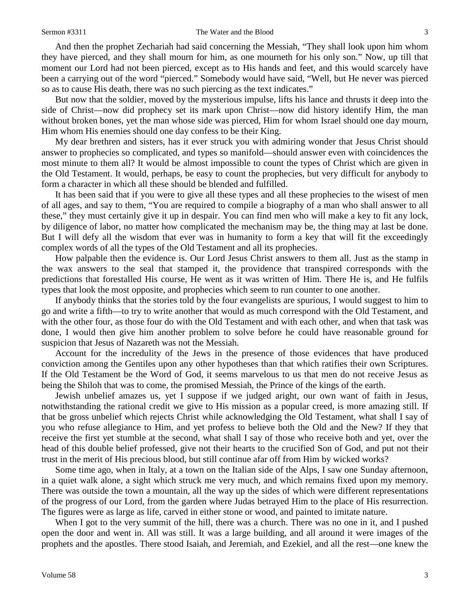#### Sermon #3311 The Water and the Blood 3

And then the prophet Zechariah had said concerning the Messiah, "They shall look upon him whom they have pierced, and they shall mourn for him, as one mourneth for his only son." Now, up till that moment our Lord had not been pierced, except as to His hands and feet, and this would scarcely have been a carrying out of the word "pierced." Somebody would have said, "Well, but He never was pierced so as to cause His death, there was no such piercing as the text indicates."

But now that the soldier, moved by the mysterious impulse, lifts his lance and thrusts it deep into the side of Christ—now did prophecy set its mark upon Christ—now did history identify Him, the man without broken bones, yet the man whose side was pierced, Him for whom Israel should one day mourn, Him whom His enemies should one day confess to be their King.

My dear brethren and sisters, has it ever struck you with admiring wonder that Jesus Christ should answer to prophecies so complicated, and types so manifold—should answer even with coincidences the most minute to them all? It would be almost impossible to count the types of Christ which are given in the Old Testament. It would, perhaps, be easy to count the prophecies, but very difficult for anybody to form a character in which all these should be blended and fulfilled.

It has been said that if you were to give all these types and all these prophecies to the wisest of men of all ages, and say to them, "You are required to compile a biography of a man who shall answer to all these," they must certainly give it up in despair. You can find men who will make a key to fit any lock, by diligence of labor, no matter how complicated the mechanism may be, the thing may at last be done. But I will defy all the wisdom that ever was in humanity to form a key that will fit the exceedingly complex words of all the types of the Old Testament and all its prophecies.

How palpable then the evidence is. Our Lord Jesus Christ answers to them all. Just as the stamp in the wax answers to the seal that stamped it, the providence that transpired corresponds with the predictions that forestalled His course, He went as it was written of Him. There He is, and He fulfils types that look the most opposite, and prophecies which seem to run counter to one another.

If anybody thinks that the stories told by the four evangelists are spurious, I would suggest to him to go and write a fifth—to try to write another that would as much correspond with the Old Testament, and with the other four, as those four do with the Old Testament and with each other, and when that task was done, I would then give him another problem to solve before he could have reasonable ground for suspicion that Jesus of Nazareth was not the Messiah.

Account for the incredulity of the Jews in the presence of those evidences that have produced conviction among the Gentiles upon any other hypotheses than that which ratifies their own Scriptures. If the Old Testament be the Word of God, it seems marvelous to us that men do not receive Jesus as being the Shiloh that was to come, the promised Messiah, the Prince of the kings of the earth.

Jewish unbelief amazes us, yet I suppose if we judged aright, our own want of faith in Jesus, notwithstanding the rational credit we give to His mission as a popular creed, is more amazing still. If that be gross unbelief which rejects Christ while acknowledging the Old Testament, what shall I say of you who refuse allegiance to Him, and yet profess to believe both the Old and the New? If they that receive the first yet stumble at the second, what shall I say of those who receive both and yet, over the head of this double belief professed, give not their hearts to the crucified Son of God, and put not their trust in the merit of His precious blood, but still continue afar off from Him by wicked works?

Some time ago, when in Italy, at a town on the Italian side of the Alps, I saw one Sunday afternoon, in a quiet walk alone, a sight which struck me very much, and which remains fixed upon my memory. There was outside the town a mountain, all the way up the sides of which were different representations of the progress of our Lord, from the garden where Judas betrayed Him to the place of His resurrection. The figures were as large as life, carved in either stone or wood, and painted to imitate nature.

When I got to the very summit of the hill, there was a church. There was no one in it, and I pushed open the door and went in. All was still. It was a large building, and all around it were images of the prophets and the apostles. There stood Isaiah, and Jeremiah, and Ezekiel, and all the rest—one knew the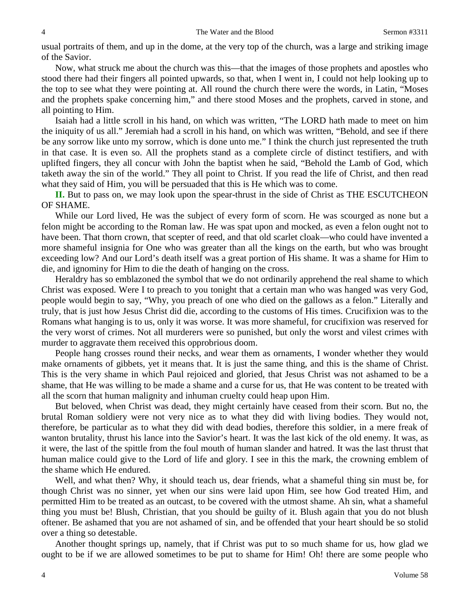usual portraits of them, and up in the dome, at the very top of the church, was a large and striking image of the Savior.

Now, what struck me about the church was this—that the images of those prophets and apostles who stood there had their fingers all pointed upwards, so that, when I went in, I could not help looking up to the top to see what they were pointing at. All round the church there were the words, in Latin, "Moses and the prophets spake concerning him," and there stood Moses and the prophets, carved in stone, and all pointing to Him.

Isaiah had a little scroll in his hand, on which was written, "The LORD hath made to meet on him the iniquity of us all." Jeremiah had a scroll in his hand, on which was written, "Behold, and see if there be any sorrow like unto my sorrow, which is done unto me." I think the church just represented the truth in that case. It is even so. All the prophets stand as a complete circle of distinct testifiers, and with uplifted fingers, they all concur with John the baptist when he said, "Behold the Lamb of God, which taketh away the sin of the world." They all point to Christ. If you read the life of Christ, and then read what they said of Him, you will be persuaded that this is He which was to come.

**II.** But to pass on, we may look upon the spear-thrust in the side of Christ as THE ESCUTCHEON OF SHAME.

While our Lord lived, He was the subject of every form of scorn. He was scourged as none but a felon might be according to the Roman law. He was spat upon and mocked, as even a felon ought not to have been. That thorn crown, that scepter of reed, and that old scarlet cloak—who could have invented a more shameful insignia for One who was greater than all the kings on the earth, but who was brought exceeding low? And our Lord's death itself was a great portion of His shame. It was a shame for Him to die, and ignominy for Him to die the death of hanging on the cross.

Heraldry has so emblazoned the symbol that we do not ordinarily apprehend the real shame to which Christ was exposed. Were I to preach to you tonight that a certain man who was hanged was very God, people would begin to say, "Why, you preach of one who died on the gallows as a felon." Literally and truly, that is just how Jesus Christ did die, according to the customs of His times. Crucifixion was to the Romans what hanging is to us, only it was worse. It was more shameful, for crucifixion was reserved for the very worst of crimes. Not all murderers were so punished, but only the worst and vilest crimes with murder to aggravate them received this opprobrious doom.

People hang crosses round their necks, and wear them as ornaments, I wonder whether they would make ornaments of gibbets, yet it means that. It is just the same thing, and this is the shame of Christ. This is the very shame in which Paul rejoiced and gloried, that Jesus Christ was not ashamed to be a shame, that He was willing to be made a shame and a curse for us, that He was content to be treated with all the scorn that human malignity and inhuman cruelty could heap upon Him.

But beloved, when Christ was dead, they might certainly have ceased from their scorn. But no, the brutal Roman soldiery were not very nice as to what they did with living bodies. They would not, therefore, be particular as to what they did with dead bodies, therefore this soldier, in a mere freak of wanton brutality, thrust his lance into the Savior's heart. It was the last kick of the old enemy. It was, as it were, the last of the spittle from the foul mouth of human slander and hatred. It was the last thrust that human malice could give to the Lord of life and glory. I see in this the mark, the crowning emblem of the shame which He endured.

Well, and what then? Why, it should teach us, dear friends, what a shameful thing sin must be, for though Christ was no sinner, yet when our sins were laid upon Him, see how God treated Him, and permitted Him to be treated as an outcast, to be covered with the utmost shame. Ah sin, what a shameful thing you must be! Blush, Christian, that you should be guilty of it. Blush again that you do not blush oftener. Be ashamed that you are not ashamed of sin, and be offended that your heart should be so stolid over a thing so detestable.

Another thought springs up, namely, that if Christ was put to so much shame for us, how glad we ought to be if we are allowed sometimes to be put to shame for Him! Oh! there are some people who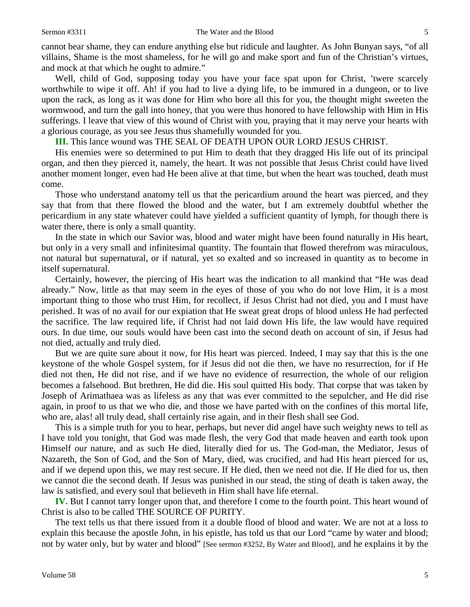cannot bear shame, they can endure anything else but ridicule and laughter. As John Bunyan says, "of all villains, Shame is the most shameless, for he will go and make sport and fun of the Christian's virtues, and mock at that which he ought to admire."

Well, child of God, supposing today you have your face spat upon for Christ, 'twere scarcely worthwhile to wipe it off. Ah! if you had to live a dying life, to be immured in a dungeon, or to live upon the rack, as long as it was done for Him who bore all this for you, the thought might sweeten the wormwood, and turn the gall into honey, that you were thus honored to have fellowship with Him in His sufferings. I leave that view of this wound of Christ with you, praying that it may nerve your hearts with a glorious courage, as you see Jesus thus shamefully wounded for you.

**III.** This lance wound was THE SEAL OF DEATH UPON OUR LORD JESUS CHRIST.

His enemies were so determined to put Him to death that they dragged His life out of its principal organ, and then they pierced it, namely, the heart. It was not possible that Jesus Christ could have lived another moment longer, even had He been alive at that time, but when the heart was touched, death must come.

Those who understand anatomy tell us that the pericardium around the heart was pierced, and they say that from that there flowed the blood and the water, but I am extremely doubtful whether the pericardium in any state whatever could have yielded a sufficient quantity of lymph, for though there is water there, there is only a small quantity.

In the state in which our Savior was, blood and water might have been found naturally in His heart, but only in a very small and infinitesimal quantity. The fountain that flowed therefrom was miraculous, not natural but supernatural, or if natural, yet so exalted and so increased in quantity as to become in itself supernatural.

Certainly, however, the piercing of His heart was the indication to all mankind that "He was dead already." Now, little as that may seem in the eyes of those of you who do not love Him, it is a most important thing to those who trust Him, for recollect, if Jesus Christ had not died, you and I must have perished. It was of no avail for our expiation that He sweat great drops of blood unless He had perfected the sacrifice. The law required life, if Christ had not laid down His life, the law would have required ours. In due time, our souls would have been cast into the second death on account of sin, if Jesus had not died, actually and truly died.

But we are quite sure about it now, for His heart was pierced. Indeed, I may say that this is the one keystone of the whole Gospel system, for if Jesus did not die then, we have no resurrection, for if He died not then, He did not rise, and if we have no evidence of resurrection, the whole of our religion becomes a falsehood. But brethren, He did die. His soul quitted His body. That corpse that was taken by Joseph of Arimathaea was as lifeless as any that was ever committed to the sepulcher, and He did rise again, in proof to us that we who die, and those we have parted with on the confines of this mortal life, who are, alas! all truly dead, shall certainly rise again, and in their flesh shall see God.

This is a simple truth for you to hear, perhaps, but never did angel have such weighty news to tell as I have told you tonight, that God was made flesh, the very God that made heaven and earth took upon Himself our nature, and as such He died, literally died for us. The God-man, the Mediator, Jesus of Nazareth, the Son of God, and the Son of Mary, died, was crucified, and had His heart pierced for us, and if we depend upon this, we may rest secure. If He died, then we need not die. If He died for us, then we cannot die the second death. If Jesus was punished in our stead, the sting of death is taken away, the law is satisfied, and every soul that believeth in Him shall have life eternal.

**IV.** But I cannot tarry longer upon that, and therefore I come to the fourth point. This heart wound of Christ is also to be called THE SOURCE OF PURITY.

The text tells us that there issued from it a double flood of blood and water. We are not at a loss to explain this because the apostle John, in his epistle, has told us that our Lord "came by water and blood; not by water only, but by water and blood" [See sermon #3252, By Water and Blood], and he explains it by the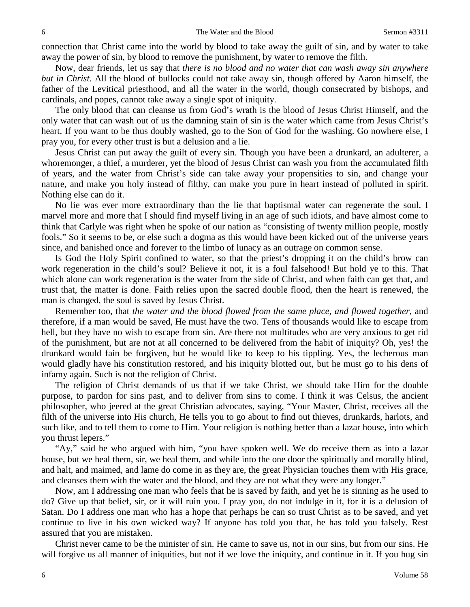connection that Christ came into the world by blood to take away the guilt of sin, and by water to take away the power of sin, by blood to remove the punishment, by water to remove the filth.

Now, dear friends, let us say that *there is no blood and no water that can wash away sin anywhere but in Christ*. All the blood of bullocks could not take away sin, though offered by Aaron himself, the father of the Levitical priesthood, and all the water in the world, though consecrated by bishops, and cardinals, and popes, cannot take away a single spot of iniquity.

The only blood that can cleanse us from God's wrath is the blood of Jesus Christ Himself, and the only water that can wash out of us the damning stain of sin is the water which came from Jesus Christ's heart. If you want to be thus doubly washed, go to the Son of God for the washing. Go nowhere else, I pray you, for every other trust is but a delusion and a lie.

Jesus Christ can put away the guilt of every sin. Though you have been a drunkard, an adulterer, a whoremonger, a thief, a murderer, yet the blood of Jesus Christ can wash you from the accumulated filth of years, and the water from Christ's side can take away your propensities to sin, and change your nature, and make you holy instead of filthy, can make you pure in heart instead of polluted in spirit. Nothing else can do it.

No lie was ever more extraordinary than the lie that baptismal water can regenerate the soul. I marvel more and more that I should find myself living in an age of such idiots, and have almost come to think that Carlyle was right when he spoke of our nation as "consisting of twenty million people, mostly fools." So it seems to be, or else such a dogma as this would have been kicked out of the universe years since, and banished once and forever to the limbo of lunacy as an outrage on common sense.

Is God the Holy Spirit confined to water, so that the priest's dropping it on the child's brow can work regeneration in the child's soul? Believe it not, it is a foul falsehood! But hold ye to this. That which alone can work regeneration is the water from the side of Christ, and when faith can get that, and trust that, the matter is done. Faith relies upon the sacred double flood, then the heart is renewed, the man is changed, the soul is saved by Jesus Christ.

Remember too, that *the water and the blood flowed from the same place, and flowed together,* and therefore, if a man would be saved, He must have the two. Tens of thousands would like to escape from hell, but they have no wish to escape from sin. Are there not multitudes who are very anxious to get rid of the punishment, but are not at all concerned to be delivered from the habit of iniquity? Oh, yes! the drunkard would fain be forgiven, but he would like to keep to his tippling. Yes, the lecherous man would gladly have his constitution restored, and his iniquity blotted out, but he must go to his dens of infamy again. Such is not the religion of Christ.

The religion of Christ demands of us that if we take Christ, we should take Him for the double purpose, to pardon for sins past, and to deliver from sins to come. I think it was Celsus, the ancient philosopher, who jeered at the great Christian advocates, saying, "Your Master, Christ, receives all the filth of the universe into His church, He tells you to go about to find out thieves, drunkards, harlots, and such like, and to tell them to come to Him. Your religion is nothing better than a lazar house, into which you thrust lepers."

"Ay," said he who argued with him, "you have spoken well. We do receive them as into a lazar house, but we heal them, sir, we heal them, and while into the one door the spiritually and morally blind, and halt, and maimed, and lame do come in as they are, the great Physician touches them with His grace, and cleanses them with the water and the blood, and they are not what they were any longer."

Now, am I addressing one man who feels that he is saved by faith, and yet he is sinning as he used to do? Give up that belief, sir, or it will ruin you. I pray you, do not indulge in it, for it is a delusion of Satan. Do I address one man who has a hope that perhaps he can so trust Christ as to be saved, and yet continue to live in his own wicked way? If anyone has told you that, he has told you falsely. Rest assured that you are mistaken.

Christ never came to be the minister of sin. He came to save us, not in our sins, but from our sins. He will forgive us all manner of iniquities, but not if we love the iniquity, and continue in it. If you hug sin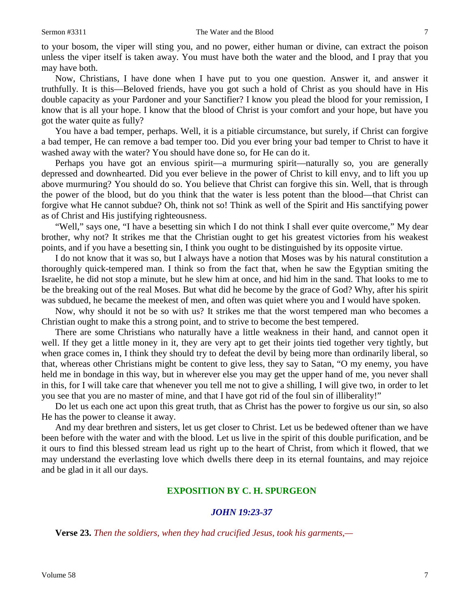to your bosom, the viper will sting you, and no power, either human or divine, can extract the poison unless the viper itself is taken away. You must have both the water and the blood, and I pray that you may have both.

Now, Christians, I have done when I have put to you one question. Answer it, and answer it truthfully. It is this—Beloved friends, have you got such a hold of Christ as you should have in His double capacity as your Pardoner and your Sanctifier? I know you plead the blood for your remission, I know that is all your hope. I know that the blood of Christ is your comfort and your hope, but have you got the water quite as fully?

You have a bad temper, perhaps. Well, it is a pitiable circumstance, but surely, if Christ can forgive a bad temper, He can remove a bad temper too. Did you ever bring your bad temper to Christ to have it washed away with the water? You should have done so, for He can do it.

Perhaps you have got an envious spirit—a murmuring spirit—naturally so, you are generally depressed and downhearted. Did you ever believe in the power of Christ to kill envy, and to lift you up above murmuring? You should do so. You believe that Christ can forgive this sin. Well, that is through the power of the blood, but do you think that the water is less potent than the blood—that Christ can forgive what He cannot subdue? Oh, think not so! Think as well of the Spirit and His sanctifying power as of Christ and His justifying righteousness.

"Well," says one, "I have a besetting sin which I do not think I shall ever quite overcome," My dear brother, why not? It strikes me that the Christian ought to get his greatest victories from his weakest points, and if you have a besetting sin, I think you ought to be distinguished by its opposite virtue.

I do not know that it was so, but I always have a notion that Moses was by his natural constitution a thoroughly quick-tempered man. I think so from the fact that, when he saw the Egyptian smiting the Israelite, he did not stop a minute, but he slew him at once, and hid him in the sand. That looks to me to be the breaking out of the real Moses. But what did he become by the grace of God? Why, after his spirit was subdued, he became the meekest of men, and often was quiet where you and I would have spoken.

Now, why should it not be so with us? It strikes me that the worst tempered man who becomes a Christian ought to make this a strong point, and to strive to become the best tempered.

There are some Christians who naturally have a little weakness in their hand, and cannot open it well. If they get a little money in it, they are very apt to get their joints tied together very tightly, but when grace comes in, I think they should try to defeat the devil by being more than ordinarily liberal, so that, whereas other Christians might be content to give less, they say to Satan, "O my enemy, you have held me in bondage in this way, but in wherever else you may get the upper hand of me, you never shall in this, for I will take care that whenever you tell me not to give a shilling, I will give two, in order to let you see that you are no master of mine, and that I have got rid of the foul sin of illiberality!"

Do let us each one act upon this great truth, that as Christ has the power to forgive us our sin, so also He has the power to cleanse it away.

And my dear brethren and sisters, let us get closer to Christ. Let us be bedewed oftener than we have been before with the water and with the blood. Let us live in the spirit of this double purification, and be it ours to find this blessed stream lead us right up to the heart of Christ, from which it flowed, that we may understand the everlasting love which dwells there deep in its eternal fountains, and may rejoice and be glad in it all our days.

### **EXPOSITION BY C. H. SPURGEON**

#### *JOHN 19:23-37*

**Verse 23.** *Then the soldiers, when they had crucified Jesus, took his garments,—*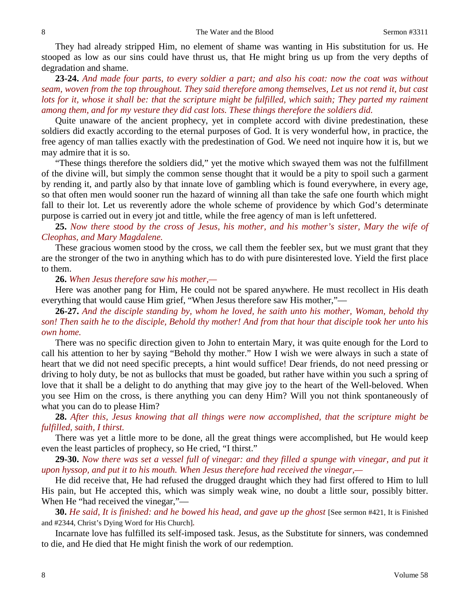They had already stripped Him, no element of shame was wanting in His substitution for us. He stooped as low as our sins could have thrust us, that He might bring us up from the very depths of degradation and shame.

**23-24.** *And made four parts, to every soldier a part; and also his coat: now the coat was without seam, woven from the top throughout. They said therefore among themselves, Let us not rend it, but cast lots for it, whose it shall be: that the scripture might be fulfilled, which saith; They parted my raiment among them, and for my vesture they did cast lots. These things therefore the soldiers did.*

Quite unaware of the ancient prophecy, yet in complete accord with divine predestination, these soldiers did exactly according to the eternal purposes of God. It is very wonderful how, in practice, the free agency of man tallies exactly with the predestination of God. We need not inquire how it is, but we may admire that it is so.

"These things therefore the soldiers did," yet the motive which swayed them was not the fulfillment of the divine will, but simply the common sense thought that it would be a pity to spoil such a garment by rending it, and partly also by that innate love of gambling which is found everywhere, in every age, so that often men would sooner run the hazard of winning all than take the safe one fourth which might fall to their lot. Let us reverently adore the whole scheme of providence by which God's determinate purpose is carried out in every jot and tittle, while the free agency of man is left unfettered.

**25.** *Now there stood by the cross of Jesus, his mother, and his mother's sister, Mary the wife of Cleophas, and Mary Magdalene.*

These gracious women stood by the cross, we call them the feebler sex, but we must grant that they are the stronger of the two in anything which has to do with pure disinterested love. Yield the first place to them.

**26.** *When Jesus therefore saw his mother,—*

Here was another pang for Him, He could not be spared anywhere. He must recollect in His death everything that would cause Him grief, "When Jesus therefore saw His mother,"—

**26-27.** *And the disciple standing by, whom he loved, he saith unto his mother, Woman, behold thy son! Then saith he to the disciple, Behold thy mother! And from that hour that disciple took her unto his own home.*

There was no specific direction given to John to entertain Mary, it was quite enough for the Lord to call his attention to her by saying "Behold thy mother." How I wish we were always in such a state of heart that we did not need specific precepts, a hint would suffice! Dear friends, do not need pressing or driving to holy duty, be not as bullocks that must be goaded, but rather have within you such a spring of love that it shall be a delight to do anything that may give joy to the heart of the Well-beloved. When you see Him on the cross, is there anything you can deny Him? Will you not think spontaneously of what you can do to please Him?

**28.** *After this, Jesus knowing that all things were now accomplished, that the scripture might be fulfilled, saith, I thirst.*

There was yet a little more to be done, all the great things were accomplished, but He would keep even the least particles of prophecy, so He cried, "I thirst."

**29-30.** *Now there was set a vessel full of vinegar: and they filled a spunge with vinegar, and put it upon hyssop, and put it to his mouth. When Jesus therefore had received the vinegar,—*

He did receive that, He had refused the drugged draught which they had first offered to Him to lull His pain, but He accepted this, which was simply weak wine, no doubt a little sour, possibly bitter. When He "had received the vinegar,"—

**30.** *He said, It is finished: and he bowed his head, and gave up the ghost* [See sermon #421, It is Finished and #2344, Christ's Dying Word for His Church]*.*

Incarnate love has fulfilled its self-imposed task. Jesus, as the Substitute for sinners, was condemned to die, and He died that He might finish the work of our redemption.